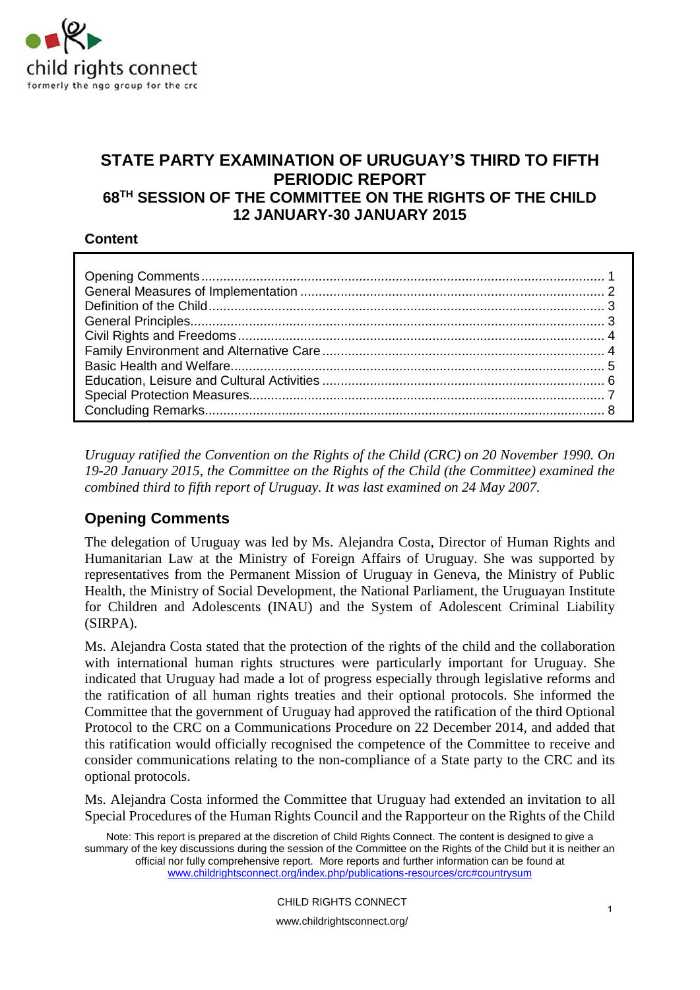

# **STATE PARTY EXAMINATION OF URUGUAY'S THIRD TO FIFTH PERIODIC REPORT 68TH SESSION OF THE COMMITTEE ON THE RIGHTS OF THE CHILD 12 JANUARY-30 JANUARY 2015**

#### **Content**

<span id="page-0-0"></span>*Uruguay ratified the Convention on the Rights of the Child (CRC) on 20 November 1990. On 19-20 January 2015, the Committee on the Rights of the Child (the Committee) examined the combined third to fifth report of Uruguay. It was last examined on 24 May 2007.*

# **Opening Comments**

The delegation of Uruguay was led by Ms. Alejandra Costa, Director of Human Rights and Humanitarian Law at the Ministry of Foreign Affairs of Uruguay. She was supported by representatives from the Permanent Mission of Uruguay in Geneva, the Ministry of Public Health, the Ministry of Social Development, the National Parliament, the Uruguayan Institute for Children and Adolescents (INAU) and the System of Adolescent Criminal Liability (SIRPA).

Ms. Alejandra Costa stated that the protection of the rights of the child and the collaboration with international human rights structures were particularly important for Uruguay. She indicated that Uruguay had made a lot of progress especially through legislative reforms and the ratification of all human rights treaties and their optional protocols. She informed the Committee that the government of Uruguay had approved the ratification of the third Optional Protocol to the CRC on a Communications Procedure on 22 December 2014, and added that this ratification would officially recognised the competence of the Committee to receive and consider communications relating to the non-compliance of a State party to the CRC and its optional protocols.

Ms. Alejandra Costa informed the Committee that Uruguay had extended an invitation to all Special Procedures of the Human Rights Council and the Rapporteur on the Rights of the Child

Note: This report is prepared at the discretion of Child Rights Connect. The content is designed to give a summary of the key discussions during the session of the Committee on the Rights of the Child but it is neither an official nor fully comprehensive report. More reports and further information can be found at [www.childrightsconnect.org/index.php/publications-resources/crc#countrysum](http://www.childrightsconnect.org/index.php/publications-resources/crc#countrysum)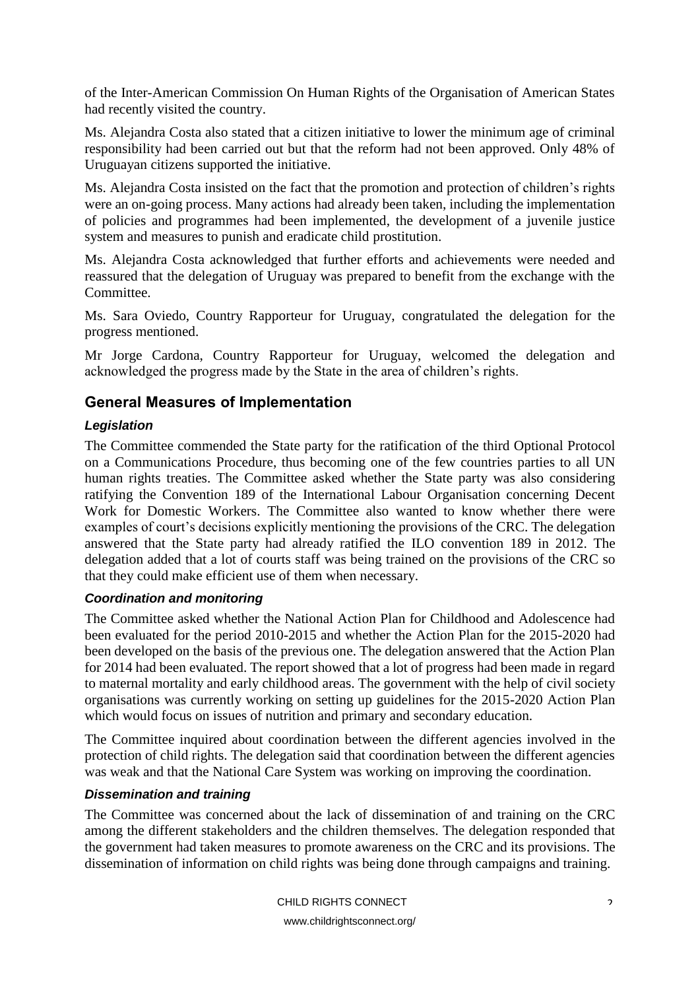of the Inter-American Commission On Human Rights of the Organisation of American States had recently visited the country.

Ms. Alejandra Costa also stated that a citizen initiative to lower the minimum age of criminal responsibility had been carried out but that the reform had not been approved. Only 48% of Uruguayan citizens supported the initiative.

Ms. Alejandra Costa insisted on the fact that the promotion and protection of children's rights were an on-going process. Many actions had already been taken, including the implementation of policies and programmes had been implemented, the development of a juvenile justice system and measures to punish and eradicate child prostitution.

Ms. Alejandra Costa acknowledged that further efforts and achievements were needed and reassured that the delegation of Uruguay was prepared to benefit from the exchange with the Committee.

Ms. Sara Oviedo, Country Rapporteur for Uruguay, congratulated the delegation for the progress mentioned.

Mr Jorge Cardona, Country Rapporteur for Uruguay, welcomed the delegation and acknowledged the progress made by the State in the area of children's rights.

# <span id="page-1-0"></span>**General Measures of Implementation**

#### *Legislation*

The Committee commended the State party for the ratification of the third Optional Protocol on a Communications Procedure, thus becoming one of the few countries parties to all UN human rights treaties. The Committee asked whether the State party was also considering ratifying the Convention 189 of the International Labour Organisation concerning Decent Work for Domestic Workers. The Committee also wanted to know whether there were examples of court's decisions explicitly mentioning the provisions of the CRC. The delegation answered that the State party had already ratified the ILO convention 189 in 2012. The delegation added that a lot of courts staff was being trained on the provisions of the CRC so that they could make efficient use of them when necessary.

#### *Coordination and monitoring*

The Committee asked whether the National Action Plan for Childhood and Adolescence had been evaluated for the period 2010-2015 and whether the Action Plan for the 2015-2020 had been developed on the basis of the previous one. The delegation answered that the Action Plan for 2014 had been evaluated. The report showed that a lot of progress had been made in regard to maternal mortality and early childhood areas. The government with the help of civil society organisations was currently working on setting up guidelines for the 2015-2020 Action Plan which would focus on issues of nutrition and primary and secondary education.

The Committee inquired about coordination between the different agencies involved in the protection of child rights. The delegation said that coordination between the different agencies was weak and that the National Care System was working on improving the coordination.

#### *Dissemination and training*

The Committee was concerned about the lack of dissemination of and training on the CRC among the different stakeholders and the children themselves. The delegation responded that the government had taken measures to promote awareness on the CRC and its provisions. The dissemination of information on child rights was being done through campaigns and training.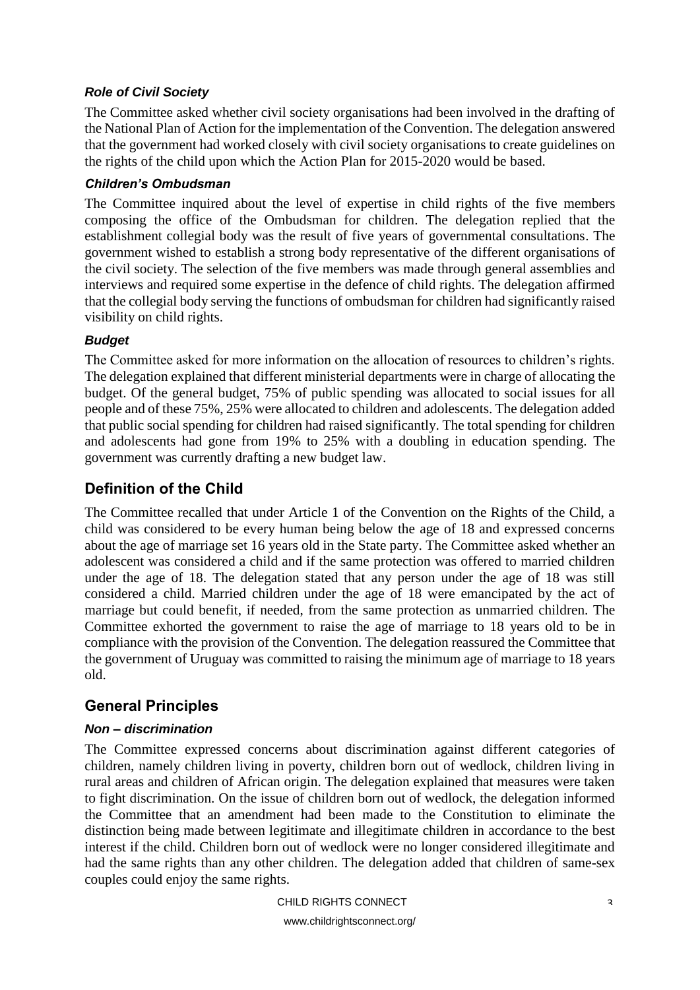#### *Role of Civil Society*

The Committee asked whether civil society organisations had been involved in the drafting of the National Plan of Action for the implementation of the Convention. The delegation answered that the government had worked closely with civil society organisations to create guidelines on the rights of the child upon which the Action Plan for 2015-2020 would be based.

#### *Children's Ombudsman*

The Committee inquired about the level of expertise in child rights of the five members composing the office of the Ombudsman for children. The delegation replied that the establishment collegial body was the result of five years of governmental consultations. The government wished to establish a strong body representative of the different organisations of the civil society. The selection of the five members was made through general assemblies and interviews and required some expertise in the defence of child rights. The delegation affirmed that the collegial body serving the functions of ombudsman for children had significantly raised visibility on child rights.

#### *Budget*

The Committee asked for more information on the allocation of resources to children's rights. The delegation explained that different ministerial departments were in charge of allocating the budget. Of the general budget, 75% of public spending was allocated to social issues for all people and of these 75%, 25% were allocated to children and adolescents. The delegation added that public social spending for children had raised significantly. The total spending for children and adolescents had gone from 19% to 25% with a doubling in education spending. The government was currently drafting a new budget law.

# <span id="page-2-0"></span>**Definition of the Child**

The Committee recalled that under Article 1 of the Convention on the Rights of the Child, a child was considered to be every human being below the age of 18 and expressed concerns about the age of marriage set 16 years old in the State party. The Committee asked whether an adolescent was considered a child and if the same protection was offered to married children under the age of 18. The delegation stated that any person under the age of 18 was still considered a child. Married children under the age of 18 were emancipated by the act of marriage but could benefit, if needed, from the same protection as unmarried children. The Committee exhorted the government to raise the age of marriage to 18 years old to be in compliance with the provision of the Convention. The delegation reassured the Committee that the government of Uruguay was committed to raising the minimum age of marriage to 18 years old.

# <span id="page-2-1"></span>**General Principles**

## *Non – discrimination*

The Committee expressed concerns about discrimination against different categories of children, namely children living in poverty, children born out of wedlock, children living in rural areas and children of African origin. The delegation explained that measures were taken to fight discrimination. On the issue of children born out of wedlock, the delegation informed the Committee that an amendment had been made to the Constitution to eliminate the distinction being made between legitimate and illegitimate children in accordance to the best interest if the child. Children born out of wedlock were no longer considered illegitimate and had the same rights than any other children. The delegation added that children of same-sex couples could enjoy the same rights.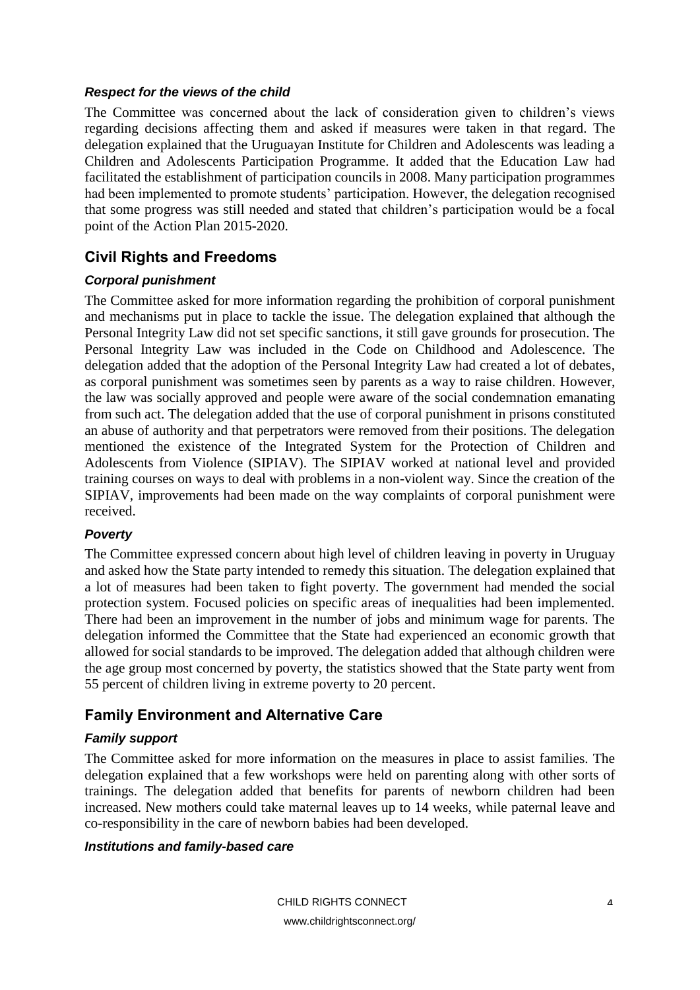#### *Respect for the views of the child*

The Committee was concerned about the lack of consideration given to children's views regarding decisions affecting them and asked if measures were taken in that regard. The delegation explained that the Uruguayan Institute for Children and Adolescents was leading a Children and Adolescents Participation Programme. It added that the Education Law had facilitated the establishment of participation councils in 2008. Many participation programmes had been implemented to promote students' participation. However, the delegation recognised that some progress was still needed and stated that children's participation would be a focal point of the Action Plan 2015-2020.

# <span id="page-3-0"></span>**Civil Rights and Freedoms**

#### *Corporal punishment*

The Committee asked for more information regarding the prohibition of corporal punishment and mechanisms put in place to tackle the issue. The delegation explained that although the Personal Integrity Law did not set specific sanctions, it still gave grounds for prosecution. The Personal Integrity Law was included in the Code on Childhood and Adolescence. The delegation added that the adoption of the Personal Integrity Law had created a lot of debates, as corporal punishment was sometimes seen by parents as a way to raise children. However, the law was socially approved and people were aware of the social condemnation emanating from such act. The delegation added that the use of corporal punishment in prisons constituted an abuse of authority and that perpetrators were removed from their positions. The delegation mentioned the existence of the Integrated System for the Protection of Children and Adolescents from Violence (SIPIAV). The SIPIAV worked at national level and provided training courses on ways to deal with problems in a non-violent way. Since the creation of the SIPIAV, improvements had been made on the way complaints of corporal punishment were received.

#### *Poverty*

The Committee expressed concern about high level of children leaving in poverty in Uruguay and asked how the State party intended to remedy this situation. The delegation explained that a lot of measures had been taken to fight poverty. The government had mended the social protection system. Focused policies on specific areas of inequalities had been implemented. There had been an improvement in the number of jobs and minimum wage for parents. The delegation informed the Committee that the State had experienced an economic growth that allowed for social standards to be improved. The delegation added that although children were the age group most concerned by poverty, the statistics showed that the State party went from 55 percent of children living in extreme poverty to 20 percent.

# <span id="page-3-1"></span>**Family Environment and Alternative Care**

## *Family support*

The Committee asked for more information on the measures in place to assist families. The delegation explained that a few workshops were held on parenting along with other sorts of trainings. The delegation added that benefits for parents of newborn children had been increased. New mothers could take maternal leaves up to 14 weeks, while paternal leave and co-responsibility in the care of newborn babies had been developed.

#### *Institutions and family-based care*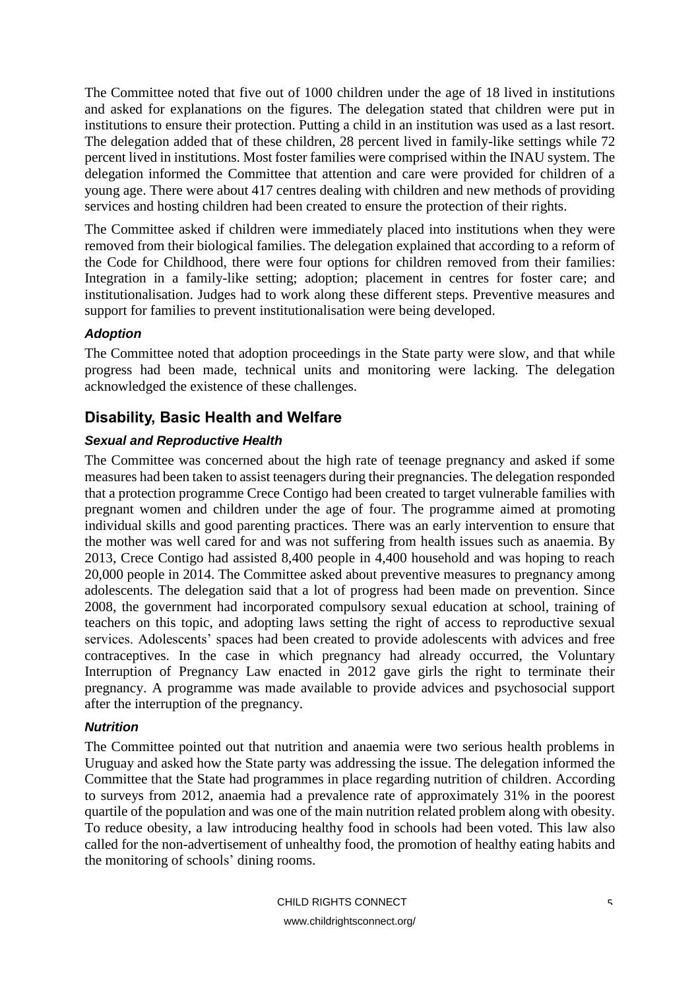The Committee noted that five out of 1000 children under the age of 18 lived in institutions and asked for explanations on the figures. The delegation stated that children were put in institutions to ensure their protection. Putting a child in an institution was used as a last resort. The delegation added that of these children, 28 percent lived in family-like settings while 72 percent lived in institutions. Most foster families were comprised within the INAU system. The delegation informed the Committee that attention and care were provided for children of a young age. There were about 417 centres dealing with children and new methods of providing services and hosting children had been created to ensure the protection of their rights.

The Committee asked if children were immediately placed into institutions when they were removed from their biological families. The delegation explained that according to a reform of the Code for Childhood, there were four options for children removed from their families: Integration in a family-like setting; adoption; placement in centres for foster care; and institutionalisation. Judges had to work along these different steps. Preventive measures and support for families to prevent institutionalisation were being developed.

#### *Adoption*

The Committee noted that adoption proceedings in the State party were slow, and that while progress had been made, technical units and monitoring were lacking. The delegation acknowledged the existence of these challenges.

# <span id="page-4-0"></span>**Disability, Basic Health and Welfare**

#### *Sexual and Reproductive Health*

The Committee was concerned about the high rate of teenage pregnancy and asked if some measures had been taken to assist teenagers during their pregnancies. The delegation responded that a protection programme Crece Contigo had been created to target vulnerable families with pregnant women and children under the age of four. The programme aimed at promoting individual skills and good parenting practices. There was an early intervention to ensure that the mother was well cared for and was not suffering from health issues such as anaemia. By 2013, Crece Contigo had assisted 8,400 people in 4,400 household and was hoping to reach 20,000 people in 2014. The Committee asked about preventive measures to pregnancy among adolescents. The delegation said that a lot of progress had been made on prevention. Since 2008, the government had incorporated compulsory sexual education at school, training of teachers on this topic, and adopting laws setting the right of access to reproductive sexual services. Adolescents' spaces had been created to provide adolescents with advices and free contraceptives. In the case in which pregnancy had already occurred, the Voluntary Interruption of Pregnancy Law enacted in 2012 gave girls the right to terminate their pregnancy. A programme was made available to provide advices and psychosocial support after the interruption of the pregnancy.

#### *Nutrition*

The Committee pointed out that nutrition and anaemia were two serious health problems in Uruguay and asked how the State party was addressing the issue. The delegation informed the Committee that the State had programmes in place regarding nutrition of children. According to surveys from 2012, anaemia had a prevalence rate of approximately 31% in the poorest quartile of the population and was one of the main nutrition related problem along with obesity. To reduce obesity, a law introducing healthy food in schools had been voted. This law also called for the non-advertisement of unhealthy food, the promotion of healthy eating habits and the monitoring of schools' dining rooms.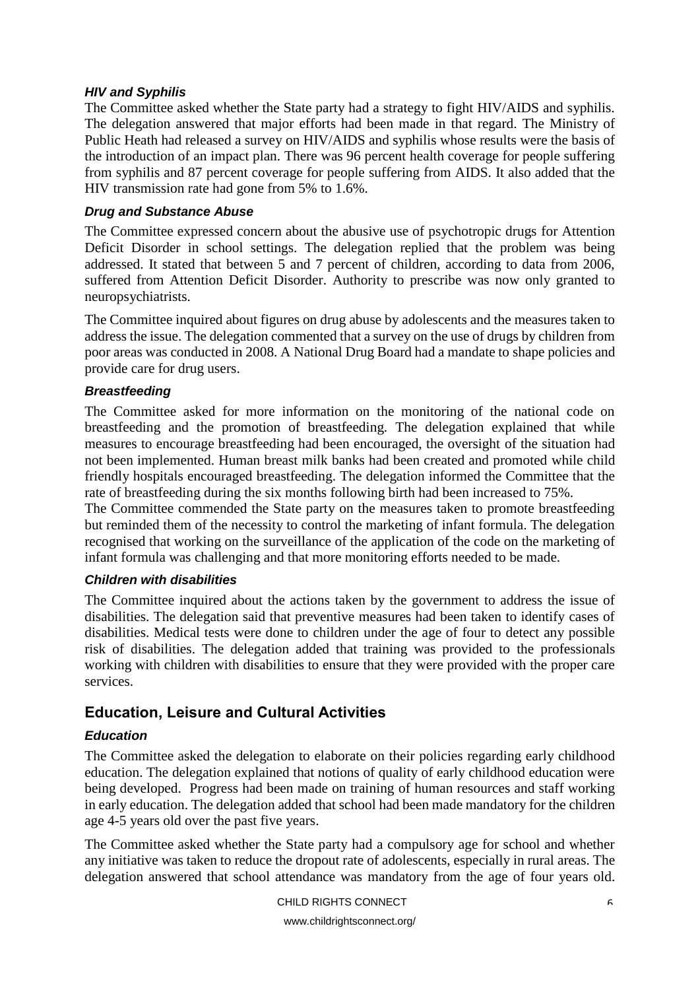#### *HIV and Syphilis*

The Committee asked whether the State party had a strategy to fight HIV/AIDS and syphilis. The delegation answered that major efforts had been made in that regard. The Ministry of Public Heath had released a survey on HIV/AIDS and syphilis whose results were the basis of the introduction of an impact plan. There was 96 percent health coverage for people suffering from syphilis and 87 percent coverage for people suffering from AIDS. It also added that the HIV transmission rate had gone from 5% to 1.6%.

#### *Drug and Substance Abuse*

The Committee expressed concern about the abusive use of psychotropic drugs for Attention Deficit Disorder in school settings. The delegation replied that the problem was being addressed. It stated that between 5 and 7 percent of children, according to data from 2006, suffered from Attention Deficit Disorder. Authority to prescribe was now only granted to neuropsychiatrists.

The Committee inquired about figures on drug abuse by adolescents and the measures taken to address the issue. The delegation commented that a survey on the use of drugs by children from poor areas was conducted in 2008. A National Drug Board had a mandate to shape policies and provide care for drug users.

#### *Breastfeeding*

The Committee asked for more information on the monitoring of the national code on breastfeeding and the promotion of breastfeeding. The delegation explained that while measures to encourage breastfeeding had been encouraged, the oversight of the situation had not been implemented. Human breast milk banks had been created and promoted while child friendly hospitals encouraged breastfeeding. The delegation informed the Committee that the rate of breastfeeding during the six months following birth had been increased to 75%.

The Committee commended the State party on the measures taken to promote breastfeeding but reminded them of the necessity to control the marketing of infant formula. The delegation recognised that working on the surveillance of the application of the code on the marketing of infant formula was challenging and that more monitoring efforts needed to be made.

#### *Children with disabilities*

The Committee inquired about the actions taken by the government to address the issue of disabilities. The delegation said that preventive measures had been taken to identify cases of disabilities. Medical tests were done to children under the age of four to detect any possible risk of disabilities. The delegation added that training was provided to the professionals working with children with disabilities to ensure that they were provided with the proper care services.

## <span id="page-5-0"></span>**Education, Leisure and Cultural Activities**

#### *Education*

The Committee asked the delegation to elaborate on their policies regarding early childhood education. The delegation explained that notions of quality of early childhood education were being developed. Progress had been made on training of human resources and staff working in early education. The delegation added that school had been made mandatory for the children age 4-5 years old over the past five years.

The Committee asked whether the State party had a compulsory age for school and whether any initiative was taken to reduce the dropout rate of adolescents, especially in rural areas. The delegation answered that school attendance was mandatory from the age of four years old.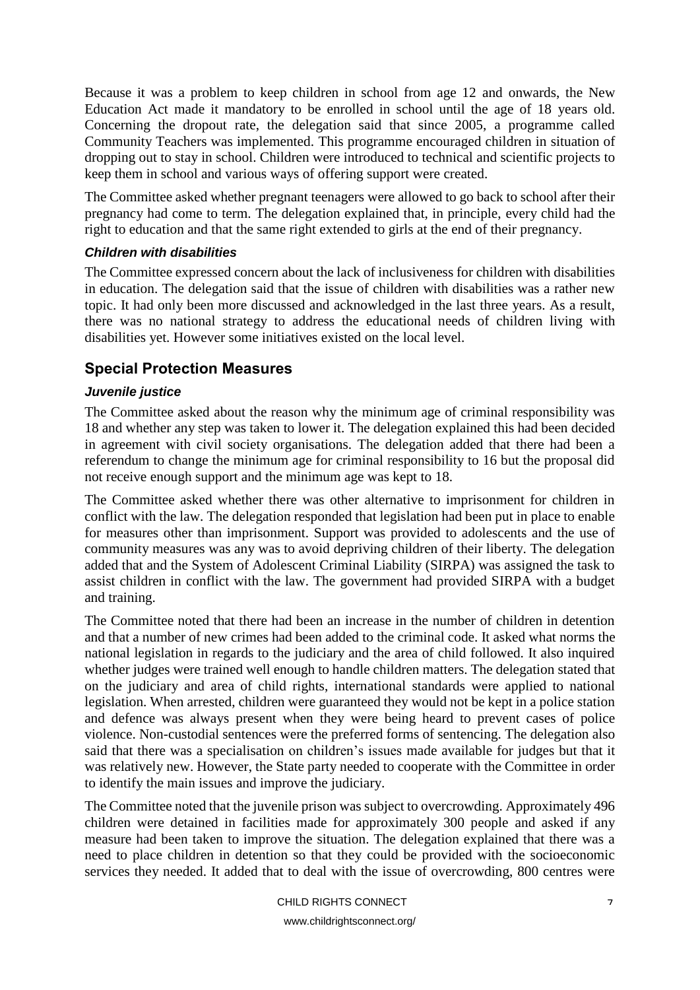Because it was a problem to keep children in school from age 12 and onwards, the New Education Act made it mandatory to be enrolled in school until the age of 18 years old. Concerning the dropout rate, the delegation said that since 2005, a programme called Community Teachers was implemented. This programme encouraged children in situation of dropping out to stay in school. Children were introduced to technical and scientific projects to keep them in school and various ways of offering support were created.

The Committee asked whether pregnant teenagers were allowed to go back to school after their pregnancy had come to term. The delegation explained that, in principle, every child had the right to education and that the same right extended to girls at the end of their pregnancy.

#### *Children with disabilities*

The Committee expressed concern about the lack of inclusiveness for children with disabilities in education. The delegation said that the issue of children with disabilities was a rather new topic. It had only been more discussed and acknowledged in the last three years. As a result, there was no national strategy to address the educational needs of children living with disabilities yet. However some initiatives existed on the local level.

## <span id="page-6-0"></span>**Special Protection Measures**

#### *Juvenile justice*

The Committee asked about the reason why the minimum age of criminal responsibility was 18 and whether any step was taken to lower it. The delegation explained this had been decided in agreement with civil society organisations. The delegation added that there had been a referendum to change the minimum age for criminal responsibility to 16 but the proposal did not receive enough support and the minimum age was kept to 18.

The Committee asked whether there was other alternative to imprisonment for children in conflict with the law. The delegation responded that legislation had been put in place to enable for measures other than imprisonment. Support was provided to adolescents and the use of community measures was any was to avoid depriving children of their liberty. The delegation added that and the System of Adolescent Criminal Liability (SIRPA) was assigned the task to assist children in conflict with the law. The government had provided SIRPA with a budget and training.

The Committee noted that there had been an increase in the number of children in detention and that a number of new crimes had been added to the criminal code. It asked what norms the national legislation in regards to the judiciary and the area of child followed. It also inquired whether judges were trained well enough to handle children matters. The delegation stated that on the judiciary and area of child rights, international standards were applied to national legislation. When arrested, children were guaranteed they would not be kept in a police station and defence was always present when they were being heard to prevent cases of police violence. Non-custodial sentences were the preferred forms of sentencing. The delegation also said that there was a specialisation on children's issues made available for judges but that it was relatively new. However, the State party needed to cooperate with the Committee in order to identify the main issues and improve the judiciary.

The Committee noted that the juvenile prison was subject to overcrowding. Approximately 496 children were detained in facilities made for approximately 300 people and asked if any measure had been taken to improve the situation. The delegation explained that there was a need to place children in detention so that they could be provided with the socioeconomic services they needed. It added that to deal with the issue of overcrowding, 800 centres were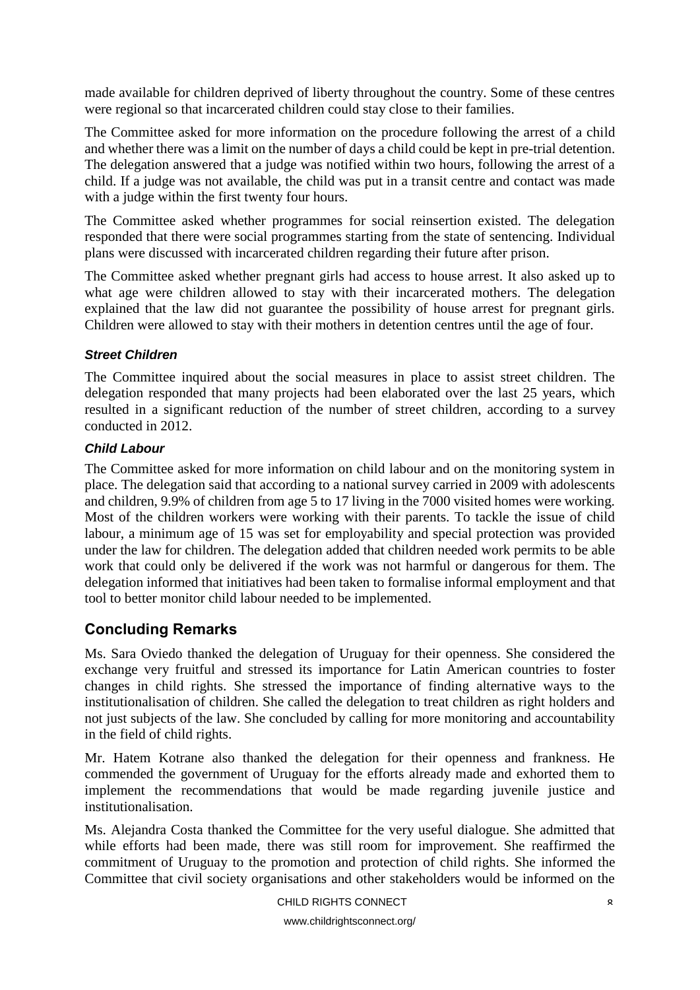made available for children deprived of liberty throughout the country. Some of these centres were regional so that incarcerated children could stay close to their families.

The Committee asked for more information on the procedure following the arrest of a child and whether there was a limit on the number of days a child could be kept in pre-trial detention. The delegation answered that a judge was notified within two hours, following the arrest of a child. If a judge was not available, the child was put in a transit centre and contact was made with a judge within the first twenty four hours.

The Committee asked whether programmes for social reinsertion existed. The delegation responded that there were social programmes starting from the state of sentencing. Individual plans were discussed with incarcerated children regarding their future after prison.

The Committee asked whether pregnant girls had access to house arrest. It also asked up to what age were children allowed to stay with their incarcerated mothers. The delegation explained that the law did not guarantee the possibility of house arrest for pregnant girls. Children were allowed to stay with their mothers in detention centres until the age of four.

#### *Street Children*

The Committee inquired about the social measures in place to assist street children. The delegation responded that many projects had been elaborated over the last 25 years, which resulted in a significant reduction of the number of street children, according to a survey conducted in 2012.

#### *Child Labour*

The Committee asked for more information on child labour and on the monitoring system in place. The delegation said that according to a national survey carried in 2009 with adolescents and children, 9.9% of children from age 5 to 17 living in the 7000 visited homes were working. Most of the children workers were working with their parents. To tackle the issue of child labour, a minimum age of 15 was set for employability and special protection was provided under the law for children. The delegation added that children needed work permits to be able work that could only be delivered if the work was not harmful or dangerous for them. The delegation informed that initiatives had been taken to formalise informal employment and that tool to better monitor child labour needed to be implemented.

## <span id="page-7-0"></span>**Concluding Remarks**

Ms. Sara Oviedo thanked the delegation of Uruguay for their openness. She considered the exchange very fruitful and stressed its importance for Latin American countries to foster changes in child rights. She stressed the importance of finding alternative ways to the institutionalisation of children. She called the delegation to treat children as right holders and not just subjects of the law. She concluded by calling for more monitoring and accountability in the field of child rights.

Mr. Hatem Kotrane also thanked the delegation for their openness and frankness. He commended the government of Uruguay for the efforts already made and exhorted them to implement the recommendations that would be made regarding juvenile justice and institutionalisation.

Ms. Alejandra Costa thanked the Committee for the very useful dialogue. She admitted that while efforts had been made, there was still room for improvement. She reaffirmed the commitment of Uruguay to the promotion and protection of child rights. She informed the Committee that civil society organisations and other stakeholders would be informed on the